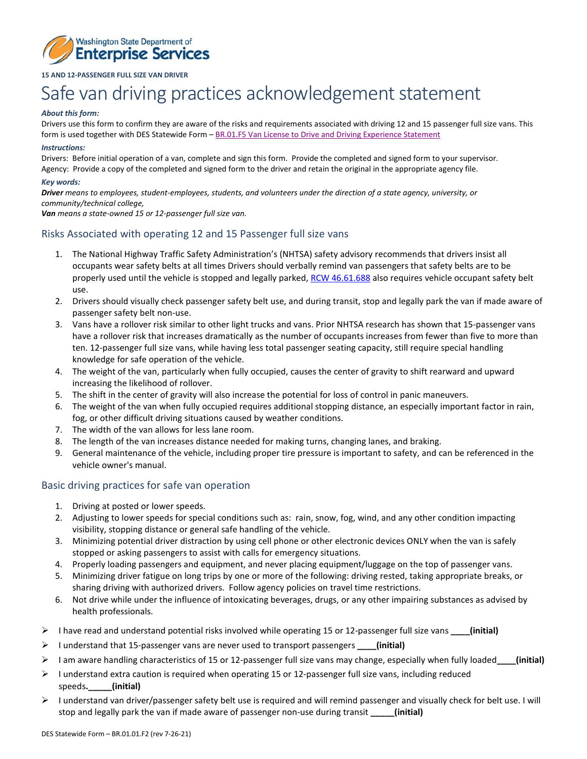

## **15 AND 12-PASSENGER FULL SIZE VAN DRIVER**

# Safe van driving practices acknowledgement statement

#### *About this form:*

Drivers use this form to confirm they are aware of the risks and requirements associated with driving 12 and 15 passenger full size vans. This form is used together with DES Statewide Form – BR.01.F5 Van License [to Drive and Driving Experience Statement](https://des.wa.gov/sites/default/files/public/documents/About/rules/EnterpriseTransportation/Form5VanLicStmnt.pdf)

#### *Instructions:*

Drivers: Before initial operation of a van, complete and sign this form. Provide the completed and signed form to your supervisor. Agency: Provide a copy of the completed and signed form to the driver and retain the original in the appropriate agency file.

#### *Key words:*

*Driver means to employees, student-employees, students, and volunteers under the direction of a state agency, university, or community/technical college,*

*Van means a state-owned 15 or 12-passenger full size van.*

# Risks Associated with operating 12 and 15 Passenger full size vans

- 1. The National Highway Traffic Safety Administration's (NHTSA) safety advisory recommends that drivers insist all occupants wear safety belts at all times Drivers should verbally remind van passengers that safety belts are to be properly used until the vehicle is stopped and legally parked, [RCW 46.61.688](https://app.leg.wa.gov/rcw/default.aspx?cite=46.61.688) also requires vehicle occupant safety belt use.
- 2. Drivers should visually check passenger safety belt use, and during transit, stop and legally park the van if made aware of passenger safety belt non-use.
- 3. Vans have a rollover risk similar to other light trucks and vans. Prior NHTSA research has shown that 15-passenger vans have a rollover risk that increases dramatically as the number of occupants increases from fewer than five to more than ten. 12-passenger full size vans, while having less total passenger seating capacity, still require special handling knowledge for safe operation of the vehicle.
- 4. The weight of the van, particularly when fully occupied, causes the center of gravity to shift rearward and upward increasing the likelihood of rollover.
- 5. The shift in the center of gravity will also increase the potential for loss of control in panic maneuvers.
- 6. The weight of the van when fully occupied requires additional stopping distance, an especially important factor in rain, fog, or other difficult driving situations caused by weather conditions.
- 7. The width of the van allows for less lane room.
- 8. The length of the van increases distance needed for making turns, changing lanes, and braking.
- 9. General maintenance of the vehicle, including proper tire pressure is important to safety, and can be referenced in the vehicle owner's manual.

### Basic driving practices for safe van operation

- 1. Driving at posted or lower speeds.
- 2. Adjusting to lower speeds for special conditions such as: rain, snow, fog, wind, and any other condition impacting visibility, stopping distance or general safe handling of the vehicle.
- 3. Minimizing potential driver distraction by using cell phone or other electronic devices ONLY when the van is safely stopped or asking passengers to assist with calls for emergency situations.
- 4. Properly loading passengers and equipment, and never placing equipment/luggage on the top of passenger vans.
- 5. Minimizing driver fatigue on long trips by one or more of the following: driving rested, taking appropriate breaks, or sharing driving with authorized drivers. Follow agency policies on travel time restrictions.
- 6. Not drive while under the influence of intoxicating beverages, drugs, or any other impairing substances as advised by health professionals.
- I have read and understand potential risks involved while operating 15 or 12-passenger full size vans **\_\_\_\_(initial)**
- I understand that 15-passenger vans are never used to transport passengers **\_\_\_\_(initial)**
- I am aware handling characteristics of 15 or 12-passenger full size vans may change, especially when fully loaded**\_\_\_\_(initial)**
- $\triangleright$  I understand extra caution is required when operating 15 or 12-passenger full size vans, including reduced speeds**.\_\_\_\_\_(initial)**
- $\triangleright$  I understand van driver/passenger safety belt use is required and will remind passenger and visually check for belt use. I will stop and legally park the van if made aware of passenger non-use during transit **\_\_\_\_\_(initial)**